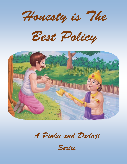Honesty is The

Best Policy



A Pinku and Dadaji

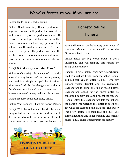### *World is honest to you if you are one*

#### Dadaji: Hello Pinku Good Morning

Pinku: Good morning Dadaji yesterday I happened to visit milk parlor. The cost of the milk was 21; I gave the parlor owner 50. He returned 19 so I gave it back to my mother. Before my mom could ask any question, from behind came the parlor boy and gave 10 to me. I was surprised the parlor owner sent this boy to return the remaining amount to me. I gave back the money to mom and she was happy.

Dadaji: But, why are you surprised Pinku?

Pinku: Well! Dadaji, the owner of the parlor ensured to stay honest and returned my money. He could have simply escaped the situation if Mom would ask for the change stating that all the change was handed over to me. But, he honestly returned money realizing his mistake.

Dadaji: Honesty is the best policy Pinku.

Pinku: What happens if I am not honest Dadaji? Dadaji: Well! Every human is bonded by something called Karma. Karma is the deed you do day in and day out. Karma always returns to you in some form. Hence, if you are honest, the



#### Honesty Returns

Honesty

karma will return you the honesty back to you. If you are dishonest, the karma will return the dishonesty back to you.

Pinku: These are big words Dadaji I don't understand can you simplify this further by giving some example.

Dadaji: Oh sure Pinku. Every day, Chanchuram used to purchase bread from the baker Ramlal and sell rich village butter to him. One day visitors visited Ramlal and he requested, Chanchuram to bring one kilo of fresh butter. Chanchuram looked for the finest butter he could find in his village and brought the same to Ramlal. After the Chanchuram left the bakery, the baker's wife weighed the butter to see if she got what her husband had paid for. The butter was a few grams less than that of a kilo. She complained the same to her husband and furious baker Ramlal called Chanchuram for inquiry.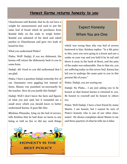### *Honest Karma returns honesty to you*

Chanchuram told Ramlal, that he do not have a weight for measurement and used to put the same loaf of bread which he purchases from Ramlal daily on the scale to weigh butter. Ramlal was ashamed of his deed and asked pardon to Chanchuram and gave two loafs of bread for free.

What you understand Pinku?

Pinku: Well! Dadaji, if you are dishonest, the karma will return the dishonesty back to you in some form.

Dadaji: Ah! Good so you did understand that I am glad.

Pinku: I have a question Dadaji yesterday few of our classmates were giggling but instead of them, Shamu was punished un-necessarily by the teacher. How do you justify this Dadaji?

Dadaji: Well I don't know the facts and figures of what you just said, but it reminded me a small story which you should know to better understand Karma. It goes like this:

Bhishma Pitamaha, lying on the bed of arrows, tells Krishna that he had done no harm to any being or told no lies or did any such things



## Expect Honesty When You are One

which was wrong then why was bed of arrows bestowed to him. Krishna replies: "In a life prior to this, once you were going in a forest and saw a snake on your way and you held it by its tail and threw it away in the bush of thorn, and the pain of the snake was unbearable. Due to that sin, you are suffering today on this arrow-bed. Karma has led you to undergo the same pain to you in this present life of yours."

Pinku: Dadaji, you are scaring me.

Dadaji: No Pinku… I am just asking you to be honest so that honest karma is returned to you. Be honest to yourself and be honest to others too.

Pinku: Well Dadaji, I have a best friend by name Mantu. I am honest, but I cannot be sure of Pintu's honesty who is one of our other classmates'. He always complains about Mantu to me and three quarters of what he tells me is false.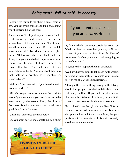## *Being truth-full to self, is honesty*

Dadaji: This reminds me about a small story of how you can avoid someone talking bad against your best friend. Here it goes:

Socrates was Greek philosopher known for his great knowledge and wisdom. One day an acquaintance of his met and said, "I just heard something about your friend. Do you want to know about it?" To which Socrates replied calmly, "Before you talk to me about my friend, it might be good idea to test importance of what you're going to say. Let it pass through the triple filter test. The first filter of your information is truth. Are you absolutely sure that whatever you are about to tell me about my friend is true?"

"Well, no," the man said, "I just heard about it from somewhere"

"All right, so you are unsure about the truthfulness of your statement you are about to make. Now, let's try the second filter, the filter of Goodness. Is what you are about to tell me a good thing?" said Socrates.

"Umm, No" answered the man softly.

"So, you want to tell me something bad about



## If your intentions are clear you are always Honest

my friend which you're not certain it's true. You failed the first two tests but you may still pass the test if you pass the final filter, the filter of usefulness. Is what you want to tell me going to be useful to me?"

"No, not really." replied the man shamefully.

"Well, if what you want to tell me is neither true, nor good or even useful, why waste your time to tell it to me at all." concluded Socrates.

Although there is nothing wrong with talking about other people, it is what we talk about them that really matters. If you talk negative about others and be dishonest to others, your credibility goes down. So never be dishonest to others.

Pinku: That's true Dadaji. No one likes Pintu in the class as he bad mouths everyone. Teachers also punish him a lot and sometimes, he gets punishment for no mistake of his which actually was done by someone else.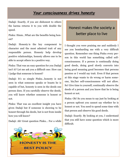#### *Your consciousness drives honesty*

Dadaji: Exactly, if you are dishonest to others the karma returns it to you with double the speed.

Pinku: Hmm…What are the benefits being honest?

Dadaji: Honesty is the key component to character and the most admired trait of any responsible person. Honesty help develop positive relationships, honesty allows one to be able to accept others in a positive way.

Pinku: That was an easy question for you Dadaji isn't it? Let me ask you a difficult one: How can I judge that someone is honest?

Dadaji: It's so simple Pinku…honesty is not seen in what someone speaks or boasts he is capable of but, honesty is seen in the deeds one person does. If you carefully observe the deeds, you will know whether someone is honest or not.

Pinku: That was an excellent insight you have given Dadaji but if someone is showing to be honest through his deeds, but is not from inside how you will know?

Dadaji: Ah! Great question Pinku… For a while



## Honest makes the society a better place to live

I thought you were praising me and suddenly I see you bombarding me with a very difficult question. Remember one thing Pinku every person in this world has something called selfconsciousness. If a person is continually doing good deeds, doing good slowly converts into being good meaning good becomes that persons passion or I would say trait. Even if that person at this stage wants to do wrong or harm someone, his/her self-consciousness will not allow. So! Give time to yourself, continually observe the deeds of a person and you know that he is being honest or not.

Pinku: Oh! So you mean to say just by looking at a person upfront you cannot say whether he is honest or not. You need to spend some time with that person and observe his good deeds.

Dadaji: Exactly. By looking at you, I understand that you still have some question which is more difficult.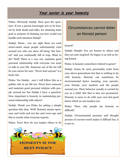#### *Your savior is your honesty*

Pinku: Obviously Dadaji. Here goes the question: If you a person knowingly acts to be honest by both deeds and talks, for attaining main goal or purpose of cheating you how would you handle such situation Dadaji?

Dadaji: Hmm… you are right there are such street-smart mean people unfortunately exist around you who can show off being "the honest" and you continually fall in trap. What to do? Well! There is a way out, maintain good personal relationship with everyone you meet or talk in your life. Someone out of the lot will be your savior for sure. "Never hurt anyone" is a book rule.

Pinku: Yes Dadaji… sure I will follow this as a golden rule in my life too. Never hurt someone and maintain good personal relation with people around me but Dadaji I have a question: How important is honesty in maintaining personal relationship with others?

Dadaji: Thank you Pinku for asking a simple question this time. Well! Honesty means openness and truth and not lies and cover-ups and this is exactly what everyone expects.

Pinku: True! How do you inspire others to be



## Circumstances cannot deter an Honest person

#### honest?

Dadaji: Simple! You are honest to others and they are auto inspired. No legacy is as rich as being honest.

Pinku: Is honesty somewhere related to genes?

Dadaji: Genes do carry personality traits from your above generations but that is nothing to do with honesty. Honesty can sometimes be environmental factor meaning, your parents, your friends, your teachers and the people around you. Their behavior usually is carried by you as a child. But that is also not permanent. Honesty is more to do with your own feel good factor which no one teaches you.

Pinku: Then, why people say honesty so difficult?

Dadaji: Circumstantial pressure and thought process of current world makes it difficult but, it is not so.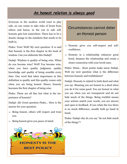## *An honest relation is always good*

Everyone in the modern world want to play safe, no one wants to take risks of brunt from others and hence, in the run to safe self, honesty gets lost somewhere. There has to be a drastic change in the mindsets that needs to be built in.

Pinku: True! Well! My next question: It is said that honesty is the first chapter in the book of wisdom. Can you elaborate this Dadaji?

Dadaji: Wisdom is quality of being wise. When do you become wise? Well! You become wise, when you have quality judgment, quality knowledge and quality of being sensible every time. One word that takes importance in this definition is quality and this quality comes only when you are being honest. Hence, honesty becomes the first chapter of being wise.

Pinku: These are all fine but what is the importance of honesty?

Dadaji: Ah! Great question Pinku… Here is the answer for your question:

- $\Rightarrow$  Being honest, others will respect and trust you.
- $\Rightarrow$  Being honest gives you peace of mind.



## Circumstances cannot deter an Honest person

- $\Rightarrow$  Honesty gives you self-respect and selfconfidence.
- $\Rightarrow$  Honesty in a relationship enhances great bond, deepens the relationship and create a closer connection with your loved ones.

Pinku: Hmm… these points make sense Dadaji. Well my next question what is the difference between honesty and truthfulness?

Dadaji: Honesty is related to both deed and what you say. Meaning you are honest in a deed when you do it for some good. You are honest in what you say when you are transparent and do not hide much of the things. Being truthful means your actions match your words, you are sincere and open to feedback. If you relate the two there is no much difference, usually both go hand in hand.

Pinku: Dadaji why do you say "do not hide much of the things"?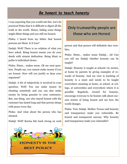### *Be honest to teach honesty*

I was expecting that you would ask this. Let's be practical Pinku that it is difficult to digest all the truth in the world. Hence, hiding some things might dilute things and you still are honest.

Pinku: I heard from my father that honest persons are blunt. Is it true?

Dadaji: Well! There is no relation of what you have asked. Being honest means you do your deeds with utmost dedication. Being blunt or polite is individual choice.

Pinku: Hmm… makes sense. Ok my next question. People say, you cannot make money if you are honest. How will you justify or deny your argument?

Dadaji: A bit of subjectivity is involved in your question. Well! You can make money by cheating somebody and you can also make money by being genuine to your customers. But, one thing, one who stayed honest with the customer has lasted long and that person sleeps with peace every day.

Pinku: And what about the person who has cheated.

Dadaji: Well! Karma hits back strong on such

# **HONESTY IS T BEST POLICY**

## Only trustworthy people are those who are Honest

person and that person will definitely face troubles.

Pinku: Hmm… makes sense Dadaji… ok! Can you tell me Dadaji whether honesty can be taught?

Dadaji: Honesty is taught at schools via stories, at home by parents by giving examples of rewards of honesty. And my view is teaching of honesty is a must and needs to be taught everywhere meaning at home, at school, at college, at universities and everywhere where it is possible. Regularly, reward for honesty, encourage everyone to be honest, talk about success stories of being honest and see how the world changes.

Pinku: True Dadaji. Mother Teresa said honesty and transparency make you vulnerable. Be honest and transparent anyway. Why honesty and transparency make you vulnerable?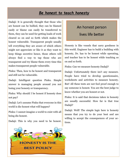### *Be honest to teach honesty*

Dadaji: It is generally thought that those who are honest can be bullied, they can be blamed easily or blame can easily be transferred to them, they can be used for getting loads of work cleared so on and so forth which makes the honest vulnerable. Transparent people usually tell everything they are aware of which others might not appreciate or like it as they want to keep things secretive hence, those others will always find a way to tap those who are transparent and try blame them every time this makes transparent people vulnerable.

Pinku: Then, how to be honest and transparent and still not be vulnerable.

Dadaji: Intelligent question Pinku. Simple answer is managing people around you not losing your honesty or transparency.

Pinku: Why should I be honest if honesty does not pay?

Dadaji: Let's assume Pinku that everyone in this world is dis-honest what will happen?

Pinku: I cannot imagine a world to exist with all being dis-honest.

Dadaji: This is why you need to be honest.

# **HONESTY IS T BEST POLICY**

## An honest person

#### lives life better

Honesty is like vessels that carry goodness in this world. Engineer has to build a building with honesty, Dr. has to be honest while operating, and teacher has to be honest while teaching so on and so forth.

Pinku: Can we measure honesty Dadaji?

Dadaji: Unfortunately there isn't any measure. People have tried to develop questionnaire, worksheets and activities to measure honesty. But! All these tests are not fool proof enough to say someone is honest. You are the best judge to know whether you are honest or not.

Pinku: It is said that decisions taken in honesty are usually successful. How far is that true Dadaji?

Dadaji: Well! The simple logic here is honesty means that you try to do your best and are willing to accept the consequences of your actions.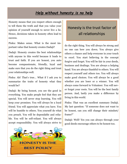## *Help without honesty is no help*

Honesty means that you respect others enough to tell them the truth and that you value your opinion of yourself enough to never live a lie. Hence, decisions taken in honesty often lead to success.

Pinku: Makes sense. What is the most important value that honesty creates Dadaji?

Dadaji: Honesty creates the best relationships with anyone in this world because it leads to trust and faith. If you are honest, you auto become compassionate, friendly, loyal and make sure that you do the right thing and treat your relationships well.

Pinku: Ah! That's true… What if I ask you to summarize the traits of honesty what they would be?

Dadaji: By being honest, you see the good in everything. You make people feel that they are special. You will never stop learning. You will keep your promises. You will always be a loyal friend. You will appreciate what you have. You will be humble to others. You yourself do what you preach. You will be dependable and reliable. You will be self-reliant. You will always accept responsibility. You will always strive to



## Honesty is the trust factor of all relationships

do the right thing. You will always be strong and no one can bow you down. You always give others a chance and help everyone in your touch to excel. You start believing in the concept forgive and forget. You will be fair in your deeds, business and dealings. You are always a helping hand. You are always thankful to others. You will respect yourself and others too. You will always make good choices. You will always be a good whether you are loser or a winner. You will always come forward to Volunteer. You will never forget your roots. You will be the best family person. And, lastly you make a difference by living in this world.

Pinku: That was an excellent summary Dadaji. My last question: "If someone does not want to be honest, can you still change their mindset/ frame?"

Dadaji: Well! Yes you can always through your good deeds encourage others to be honest too.